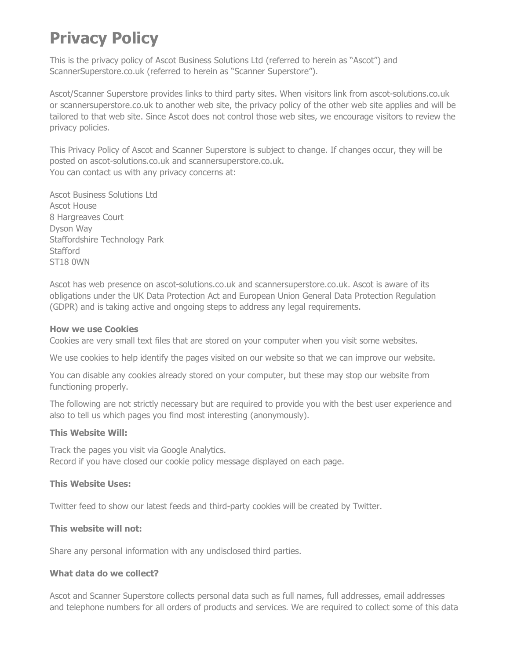# **Privacy Policy**

This is the privacy policy of Ascot Business Solutions Ltd (referred to herein as "Ascot") and ScannerSuperstore.co.uk (referred to herein as "Scanner Superstore").

Ascot/Scanner Superstore provides links to third party sites. When visitors link from ascot-solutions.co.uk or scannersuperstore.co.uk to another web site, the privacy policy of the other web site applies and will be tailored to that web site. Since Ascot does not control those web sites, we encourage visitors to review the privacy policies.

This Privacy Policy of Ascot and Scanner Superstore is subject to change. If changes occur, they will be posted on ascot-solutions.co.uk and scannersuperstore.co.uk. You can contact us with any privacy concerns at:

Ascot Business Solutions Ltd Ascot House 8 Hargreaves Court Dyson Way Staffordshire Technology Park **Stafford** ST18 0WN

Ascot has web presence on ascot-solutions.co.uk and scannersuperstore.co.uk. Ascot is aware of its obligations under the UK Data Protection Act and European Union General Data Protection Regulation (GDPR) and is taking active and ongoing steps to address any legal requirements.

#### **How we use Cookies**

Cookies are very small text files that are stored on your computer when you visit some websites.

We use cookies to help identify the pages visited on our website so that we can improve our website.

You can disable any cookies already stored on your computer, but these may stop our website from functioning properly.

The following are not strictly necessary but are required to provide you with the best user experience and also to tell us which pages you find most interesting (anonymously).

#### **This Website Will:**

Track the pages you visit via Google Analytics. Record if you have closed our cookie policy message displayed on each page.

#### **This Website Uses:**

Twitter feed to show our latest feeds and third-party cookies will be created by Twitter.

#### **This website will not:**

Share any personal information with any undisclosed third parties.

### **What data do we collect?**

Ascot and Scanner Superstore collects personal data such as full names, full addresses, email addresses and telephone numbers for all orders of products and services. We are required to collect some of this data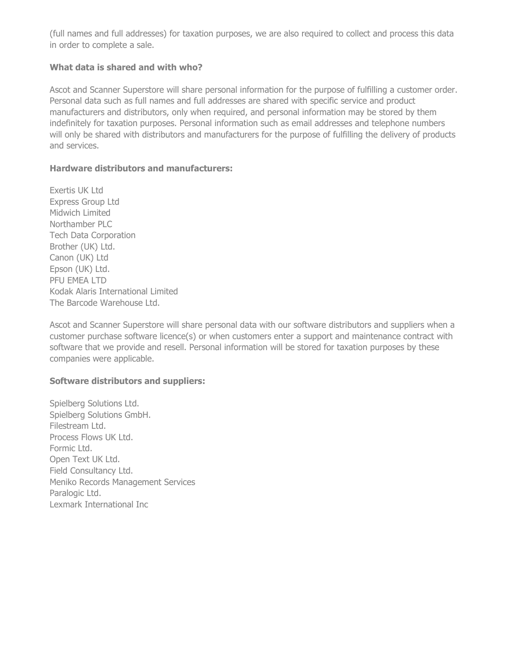(full names and full addresses) for taxation purposes, we are also required to collect and process this data in order to complete a sale.

# **What data is shared and with who?**

Ascot and Scanner Superstore will share personal information for the purpose of fulfilling a customer order. Personal data such as full names and full addresses are shared with specific service and product manufacturers and distributors, only when required, and personal information may be stored by them indefinitely for taxation purposes. Personal information such as email addresses and telephone numbers will only be shared with distributors and manufacturers for the purpose of fulfilling the delivery of products and services.

## **Hardware distributors and manufacturers:**

Exertis UK Ltd Express Group Ltd Midwich Limited Northamber PLC Tech Data Corporation Brother (UK) Ltd. Canon (UK) Ltd Epson (UK) Ltd. PFU EMEA LTD Kodak Alaris International Limited The Barcode Warehouse Ltd.

Ascot and Scanner Superstore will share personal data with our software distributors and suppliers when a customer purchase software licence(s) or when customers enter a support and maintenance contract with software that we provide and resell. Personal information will be stored for taxation purposes by these companies were applicable.

## **Software distributors and suppliers:**

Spielberg Solutions Ltd. Spielberg Solutions GmbH. Filestream Ltd. Process Flows UK Ltd. Formic Ltd. Open Text UK Ltd. Field Consultancy Ltd. Meniko Records Management Services Paralogic Ltd. Lexmark International Inc